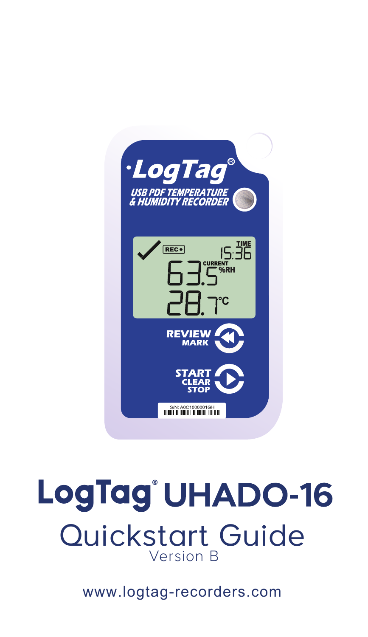

## LogTag<sup>®</sup>UHADO-16 Quickstart GuideVersion B

www.logtag-recorders.com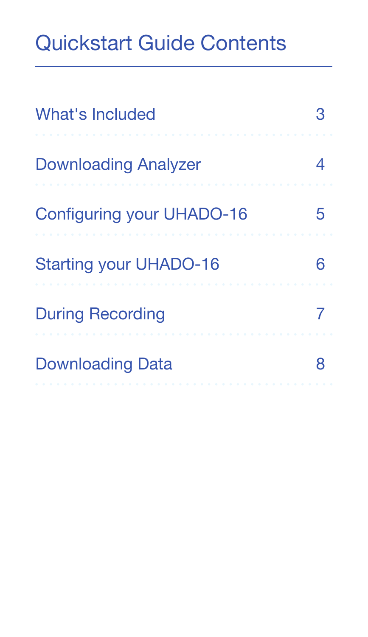#### Quickstart Guide Contents

| What's Included               |  |
|-------------------------------|--|
| <b>Downloading Analyzer</b>   |  |
| Configuring your UHADO-16     |  |
| <b>Starting your UHADO-16</b> |  |
| <b>During Recording</b>       |  |
| <b>Downloading Data</b>       |  |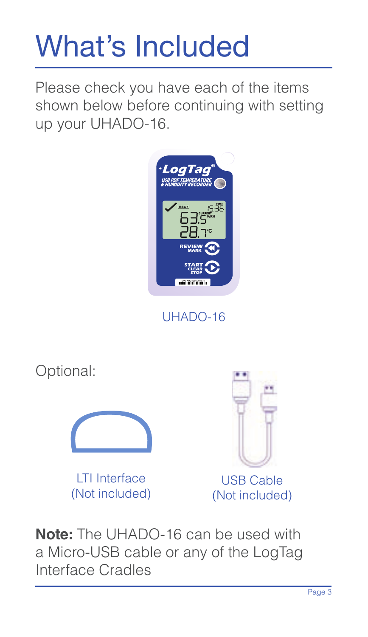# What's Included

Please check you have each of the items shown below before continuing with setting up your UHADO-16.



UHADO-16



**Note:** The UHADO-16 can be used with a Micro-USB cable or any of the LogTag Interface Cradles

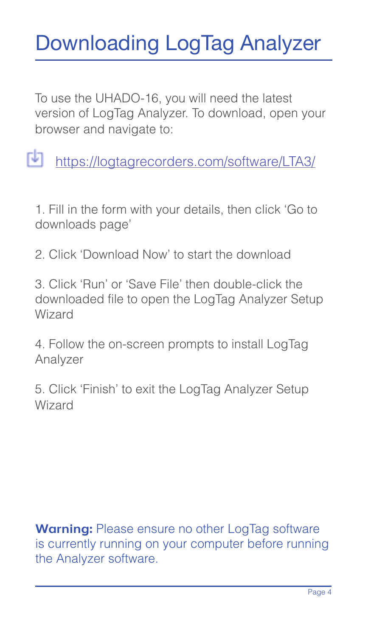#### Downloading LogTag Analyzer

To use the UHADO-16, you will need the latest version of LogTag Analyzer. To download, open your browser and navigate to:

https://logtagrecorders.com/software/LTA3/

1. Fill in the form with your details, then click 'Go to downloads page'

2. Click 'Download Now' to start the download

3. Click 'Run' or 'Save File' then double-click the downloaded file to open the LogTag Analyzer Setup Wizard

4. Follow the on-screen prompts to install LogTag Analyzer

5. Click 'Finish' to exit the LogTag Analyzer Setup Wizard

**Warning:** Please ensure no other LogTag software is currently running on your computer before running the Analyzer software.

Page 4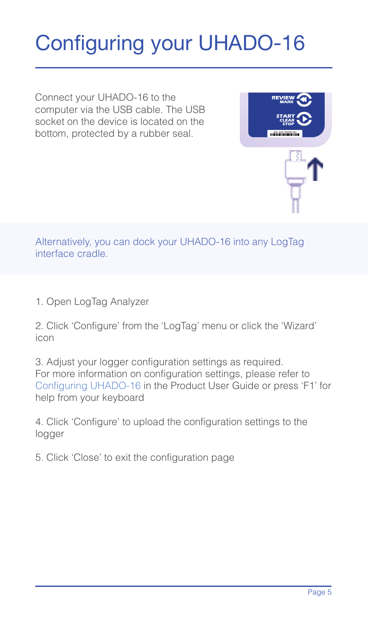#### Configuring your UHADO-16

Connect your UHADO-16 to the computer via the USB cable. The USB socket on the device is located on the bottom, protected by a rubber seal.



Alternatively, you can dock your UHADO-16 into any Log1ag interface cradle.

1. Open LogTag Analyzer

2. Click 'Configure' from the 'LogTag' menu or click the 'Wizard' icon

3. Adjust your logger configuration settings as required. For more information on configuration settings, please refer to Configuring UHADO-16 in the Product User Guide or press 'F1' for help from your keyboard

4. Click 'Configure' to upload the configuration settings to the logger

5. Click 'Close' to exit the configuration page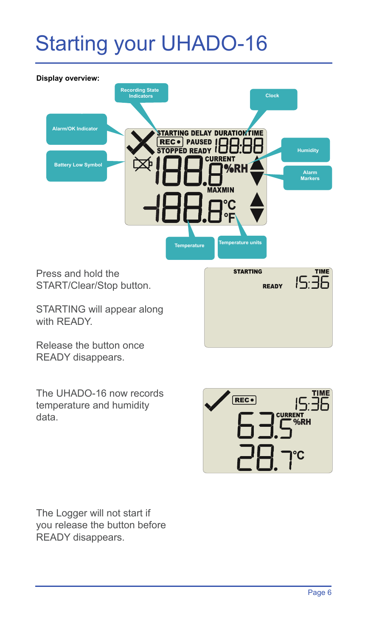#### Starting your UHADO-16



STARTING will appear along with READY.

Release the button once READY disappears.

The UHADO-16 now records temperature and humidity data.



The Logger will not start if you release the button before READY disappears.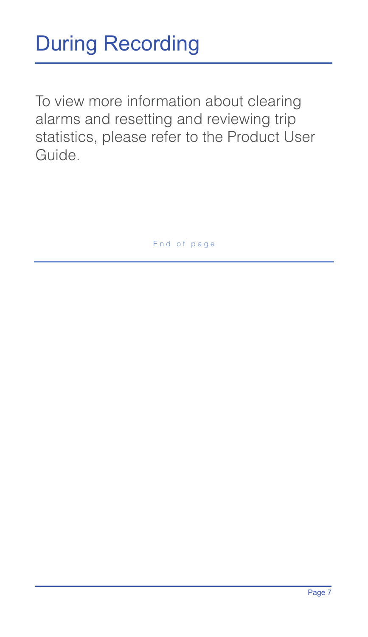### During Recording

To view more information about clearing alarms and resetting and reviewing trip statistics, please refer to the Product User Guide.

End of page